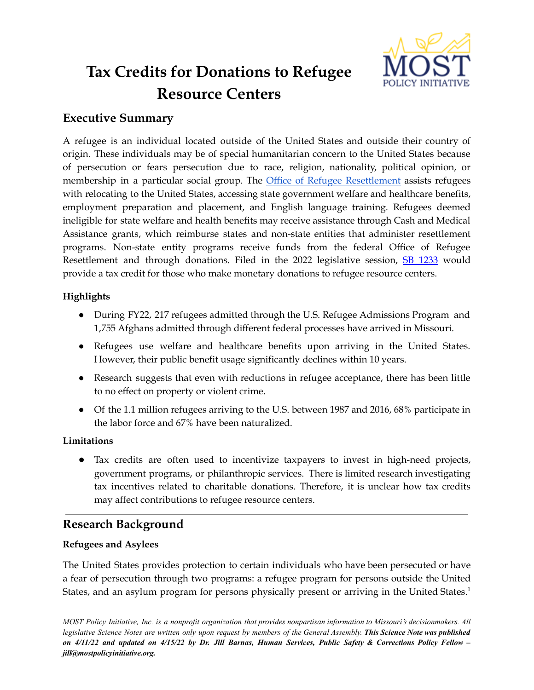

# **Tax Credits for Donations to Refugee Resource Centers**

# **Executive Summary**

A refugee is an individual located outside of the United States and outside their country of origin. These individuals may be of special humanitarian concern to the United States because of persecution or fears persecution due to race, religion, nationality, political opinion, or membership in a particular social group. The Office of Refugee [Resettlement](https://www.acf.hhs.gov/orr) assists refugees with relocating to the United States, accessing state government welfare and healthcare benefits, employment preparation and placement, and English language training. Refugees deemed ineligible for state welfare and health benefits may receive assistance through Cash and Medical Assistance grants, which reimburse states and non-state entities that administer resettlement programs. Non-state entity programs receive funds from the federal Office of Refugee Resettlement and through donations. Filed in the 2022 legislative session, SB [1233](https://www.senate.mo.gov/22info/BTS_Web/Bill.aspx?SessionType=R&BillID=77283614) would provide a tax credit for those who make monetary donations to refugee resource centers.

## **Highlights**

- During FY22, 217 refugees admitted through the U.S. Refugee Admissions Program and 1,755 Afghans admitted through different federal processes have arrived in Missouri.
- Refugees use welfare and healthcare benefits upon arriving in the United States. However, their public benefit usage significantly declines within 10 years.
- Research suggests that even with reductions in refugee acceptance, there has been little to no effect on property or violent crime.
- Of the 1.1 million refugees arriving to the U.S. between 1987 and 2016, 68% participate in the labor force and 67% have been naturalized.

# **Limitations**

● Tax credits are often used to incentivize taxpayers to invest in high-need projects, government programs, or philanthropic services. There is limited research investigating tax incentives related to charitable donations. Therefore, it is unclear how tax credits may affect contributions to refugee resource centers.

# **Research Background**

# **Refugees and Asylees**

The United States provides protection to certain individuals who have been persecuted or have a fear of persecution through two programs: a refugee program for persons outside the United States, and an asylum program for persons physically present or arriving in the United States.<sup>1</sup>

MOST Policy Initiative, Inc. is a nonprofit organization that provides nonpartisan information to Missouri's decisionmakers. All legislative Science Notes are written only upon request by members of the General Assembly. This Science Note was published on  $4/11/22$  and updated on  $4/15/22$  by Dr. Jill Barnas, Human Services, Public Safety & Corrections Policy Fellow *jill@mostpolicyinitiative.org.*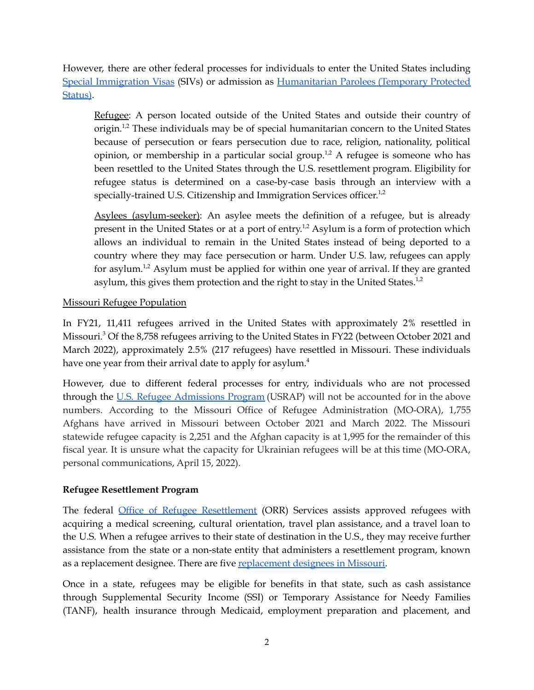However, there are other federal processes for individuals to enter the United States including Special [Immigration](https://travel.state.gov/content/travel/en/us-visas/immigrate/siv-iraqi-afghan-translators-interpreters.html) Visas (SIVs) or admission as [Humanitarian](https://www.uscis.gov/humanitarian/temporary-protected-status) Parolees (Temporary Protected [Status\)](https://www.uscis.gov/humanitarian/temporary-protected-status).

Refugee: A person located outside of the United States and outside their country of origin.<sup>1,2</sup> These individuals may be of special humanitarian concern to the United States because of persecution or fears persecution due to race, religion, nationality, political opinion, or membership in a particular social group.<sup>1,2</sup> A refugee is someone who has been resettled to the United States through the U.S. resettlement program. Eligibility for refugee status is determined on a case-by-case basis through an interview with a specially-trained U.S. Citizenship and Immigration Services officer.<sup>1,2</sup>

Asylees (asylum-seeker): An asylee meets the definition of a refugee, but is already present in the United States or at a port of entry.<sup>1,2</sup> Asylum is a form of protection which allows an individual to remain in the United States instead of being deported to a country where they may face persecution or harm. Under U.S. law, refugees can apply for asylum.<sup>1,2</sup> Asylum must be applied for within one year of arrival. If they are granted asylum, this gives them protection and the right to stay in the United States.<sup>1,2</sup>

#### Missouri Refugee Population

In FY21, 11,411 refugees arrived in the United States with approximately 2% resettled in Missouri. <sup>3</sup> Of the 8,758 refugees arriving to the United States in FY22 (between October 2021 and March 2022), approximately 2.5% (217 refugees) have resettled in Missouri. These individuals have one year from their arrival date to apply for asylum.<sup>4</sup>

However, due to different federal processes for entry, individuals who are not processed through the U.S. Refugee [Admissions](https://www.state.gov/refugee-admissions/) Program (USRAP) will not be accounted for in the above numbers. According to the Missouri Office of Refugee Administration (MO-ORA), 1,755 Afghans have arrived in Missouri between October 2021 and March 2022. The Missouri statewide refugee capacity is 2,251 and the Afghan capacity is at 1,995 for the remainder of this fiscal year. It is unsure what the capacity for Ukrainian refugees will be at this time (MO-ORA, personal communications, April 15, 2022).

#### **Refugee Resettlement Program**

The federal Office of Refugee [Resettlement](https://www.acf.hhs.gov/orr) (ORR) Services assists approved refugees with acquiring a medical screening, cultural orientation, travel plan assistance, and a travel loan to the U.S. When a refugee arrives to their state of destination in the U.S., they may receive further assistance from the state or a non-state entity that administers a resettlement program, known as a replacement designee. There are five [replacement](https://www.acf.hhs.gov/orr/policy-guidance/state-missouri-programs-and-services-locality) designees in Missouri.

Once in a state, refugees may be eligible for benefits in that state, such as cash assistance through Supplemental Security Income (SSI) or Temporary Assistance for Needy Families (TANF), health insurance through Medicaid, employment preparation and placement, and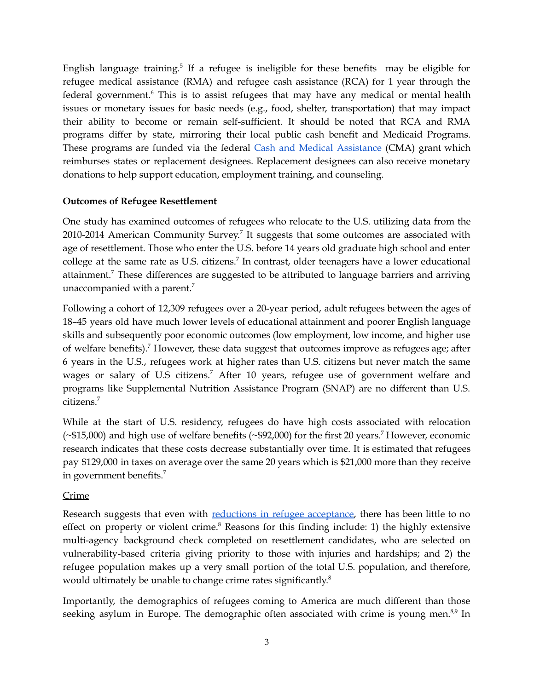English language training.<sup>5</sup> If a refugee is ineligible for these benefits may be eligible for refugee medical assistance (RMA) and refugee cash assistance (RCA) for 1 year through the federal government. <sup>6</sup> This is to assist refugees that may have any medical or mental health issues or monetary issues for basic needs (e.g., food, shelter, transportation) that may impact their ability to become or remain self-sufficient. It should be noted that RCA and RMA programs differ by state, mirroring their local public cash benefit and Medicaid Programs. These programs are funded via the federal Cash and Medical [Assistance](https://www.acf.hhs.gov/orr/programs/refugees/cma) (CMA) grant which reimburses states or replacement designees. Replacement designees can also receive monetary donations to help support education, employment training, and counseling.

#### **Outcomes of Refugee Resettlement**

One study has examined outcomes of refugees who relocate to the U.S. utilizing data from the 2010-2014 American Community Survey.<sup>7</sup> It suggests that some outcomes are associated with age of resettlement. Those who enter the U.S. before 14 years old graduate high school and enter college at the same rate as U.S. citizens.<sup>7</sup> In contrast, older teenagers have a lower educational attainment.<sup>7</sup> These differences are suggested to be attributed to language barriers and arriving unaccompanied with a parent.<sup>7</sup>

Following a cohort of 12,309 refugees over a 20-year period, adult refugees between the ages of 18–45 years old have much lower levels of educational attainment and poorer English language skills and subsequently poor economic outcomes (low employment, low income, and higher use of welfare benefits). <sup>7</sup> However, these data suggest that outcomes improve as refugees age; after 6 years in the U.S., refugees work at higher rates than U.S. citizens but never match the same wages or salary of U.S citizens.<sup>7</sup> After 10 years, refugee use of government welfare and programs like Supplemental Nutrition Assistance Program (SNAP) are no different than U.S. citizens. 7

While at the start of U.S. residency, refugees do have high costs associated with relocation  $(*15,000)$  and high use of welfare benefits  $(*92,000)$  for the first 20 years.<sup>7</sup> However, economic research indicates that these costs decrease substantially over time. It is estimated that refugees pay \$129,000 in taxes on average over the same 20 years which is \$21,000 more than they receive in government benefits. 7

#### Crime

Research suggests that even with reductions in refugee [acceptance,](https://www.federalregister.gov/documents/2017/02/01/2017-02281/protecting-the-nation-from-foreign-terrorist-entry-into-the-united-states) there has been little to no effect on property or violent crime.<sup>8</sup> Reasons for this finding include: 1) the highly extensive multi-agency background check completed on resettlement candidates, who are selected on vulnerability-based criteria giving priority to those with injuries and hardships; and 2) the refugee population makes up a very small portion of the total U.S. population, and therefore, would ultimately be unable to change crime rates significantly.<sup>8</sup>

Importantly, the demographics of refugees coming to America are much different than those seeking asylum in Europe. The demographic often associated with crime is young men.<sup>8,9</sup> In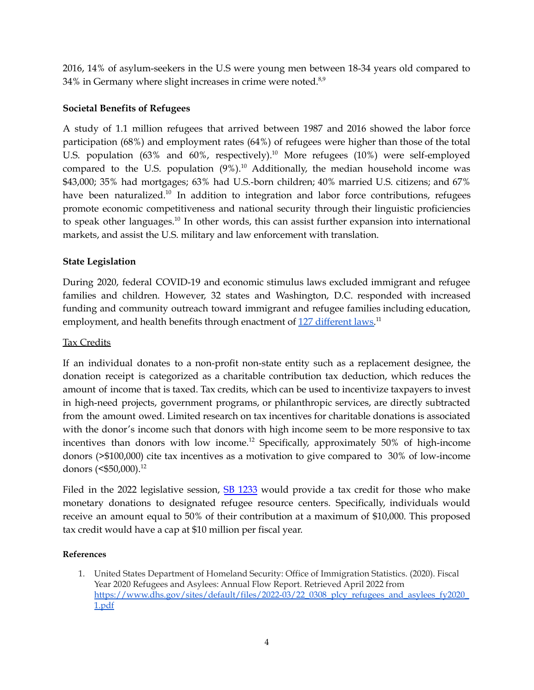2016, 14% of asylum-seekers in the U.S were young men between 18-34 years old compared to 34% in Germany where slight increases in crime were noted.<sup>8,9</sup>

#### **Societal Benefits of Refugees**

A study of 1.1 million refugees that arrived between 1987 and 2016 showed the labor force participation (68%) and employment rates (64%) of refugees were higher than those of the total U.S. population  $(63\%$  and  $60\%$ , respectively).<sup>10</sup> More refugees  $(10\%)$  were self-employed compared to the U.S. population  $(9\%)$ .<sup>10</sup> Additionally, the median household income was \$43,000; 35% had mortgages; 63% had U.S.-born children; 40% married U.S. citizens; and 67% have been naturalized.<sup>10</sup> In addition to integration and labor force contributions, refugees promote economic competitiveness and national security through their linguistic proficiencies to speak other languages.<sup>10</sup> In other words, this can assist further expansion into international markets, and assist the U.S. military and law enforcement with translation.

## **State Legislation**

During 2020, federal COVID-19 and economic stimulus laws excluded immigrant and refugee families and children. However, 32 states and Washington, D.C. responded with increased funding and community outreach toward immigrant and refugee families including education, employment, and health benefits through enactment of <u>127 [different](https://www.ncsl.org/research/immigration/report-on-state-immigration-laws-2020.aspx) laws</u>.<sup>11</sup>

#### Tax Credits

If an individual donates to a non-profit non-state entity such as a replacement designee, the donation receipt is categorized as a charitable contribution tax deduction, which reduces the amount of income that is taxed. Tax credits, which can be used to incentivize taxpayers to invest in high-need projects, government programs, or philanthropic services, are directly subtracted from the amount owed. Limited research on tax incentives for charitable donations is associated with the donor's income such that donors with high income seem to be more responsive to tax incentives than donors with low income. <sup>12</sup> Specifically, approximately 50% of high-income donors (>\$100,000) cite tax incentives as a motivation to give compared to 30% of low-income donors (<\$50,000). 12

Filed in the 2022 legislative session, SB [1233](https://www.senate.mo.gov/22info/BTS_Web/Bill.aspx?SessionType=R&BillID=77283614) would provide a tax credit for those who make monetary donations to designated refugee resource centers. Specifically, individuals would receive an amount equal to 50% of their contribution at a maximum of \$10,000. This proposed tax credit would have a cap at \$10 million per fiscal year.

#### **References**

1. United States Department of Homeland Security: Office of Immigration Statistics. (2020). Fiscal Year 2020 Refugees and Asylees: Annual Flow Report. Retrieved April 2022 from [https://www.dhs.gov/sites/default/files/2022-03/22\\_0308\\_plcy\\_refugees\\_and\\_asylees\\_fy2020\\_](https://www.dhs.gov/sites/default/files/2022-03/22_0308_plcy_refugees_and_asylees_fy2020_1.pdf) [1.pdf](https://www.dhs.gov/sites/default/files/2022-03/22_0308_plcy_refugees_and_asylees_fy2020_1.pdf)